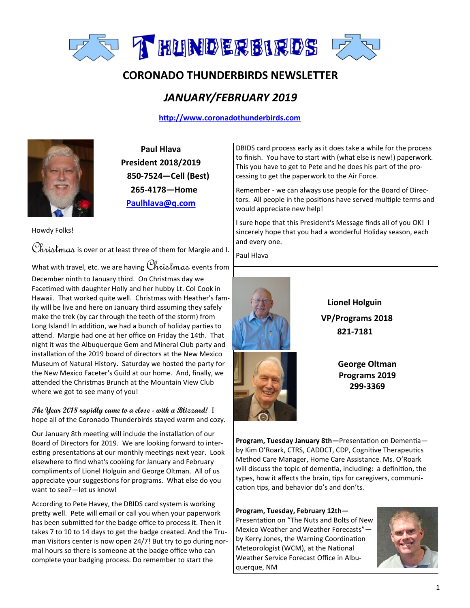

# **CORONADO THUNDERBIRDS NEWSLETTER**

# *JANUARY/FEBRUARY 2019*

# **<http://www.coronadothunderbirds.com>**



**Paul Hlava President 2018/2019 850-7524—Cell (Best) 265-4178—Home Paulhlava@q.com**

Howdy Folks!

Christmas is over or at least three of them for Margie and I.

What with travel, etc. we are having  $\mathcal{C}_i$ his $\mathcal{C}_i$  events from

December ninth to January third. On Christmas day we Facetimed with daughter Holly and her hubby Lt. Col Cook in Hawaii. That worked quite well. Christmas with Heather's family will be live and here on January third assuming they safely make the trek (by car through the teeth of the storm) from Long Island! In addition, we had a bunch of holiday parties to attend. Margie had one at her office on Friday the 14th. That night it was the Albuquerque Gem and Mineral Club party and installation of the 2019 board of directors at the New Mexico Museum of Natural History. Saturday we hosted the party for the New Mexico Faceter's Guild at our home. And, finally, we attended the Christmas Brunch at the Mountain View Club where we got to see many of you!

**The Year 2018 rapidly came to a close - with a Blizzard!** I hope all of the Coronado Thunderbirds stayed warm and cozy.

Our January 8th meeting will include the installation of our Board of Directors for 2019. We are looking forward to interesting presentations at our monthly meetings next year. Look elsewhere to find what's cooking for January and February compliments of Lionel Holguin and George Oltman. All of us appreciate your suggestions for programs. What else do you want to see?—let us know!

According to Pete Havey, the DBIDS card system is working pretty well. Pete will email or call you when your paperwork has been submitted for the badge office to process it. Then it takes 7 to 10 to 14 days to get the badge created. And the Truman Visitors center is now open 24/7! But try to go during normal hours so there is someone at the badge office who can complete your badging process. Do remember to start the

DBIDS card process early as it does take a while for the process to finish. You have to start with (what else is new!) paperwork. This you have to get to Pete and he does his part of the processing to get the paperwork to the Air Force.

Remember - we can always use people for the Board of Directors. All people in the positions have served multiple terms and would appreciate new help!

I sure hope that this President's Message finds all of you OK! I sincerely hope that you had a wonderful Holiday season, each and every one.

Paul Hlava



 **Lionel Holguin VP/Programs 2018 821-7181**

> **George Oltman Programs 2019 299-3369**

**Program, Tuesday January 8th—**Presentation on Dementia by Kim O'Roark, CTRS, CADDCT, CDP, Cognitive Therapeutics Method Care Manager, Home Care Assistance. Ms. O'Roark will discuss the topic of dementia, including: a definition, the types, how it affects the brain, tips for caregivers, communication tips, and behavior do's and don'ts.

**Program, Tuesday, February 12th—** Presentation on "The Nuts and Bolts of New Mexico Weather and Weather Forecasts" by Kerry Jones, the Warning Coordination Meteorologist (WCM), at the National Weather Service Forecast Office in Albuquerque, NM

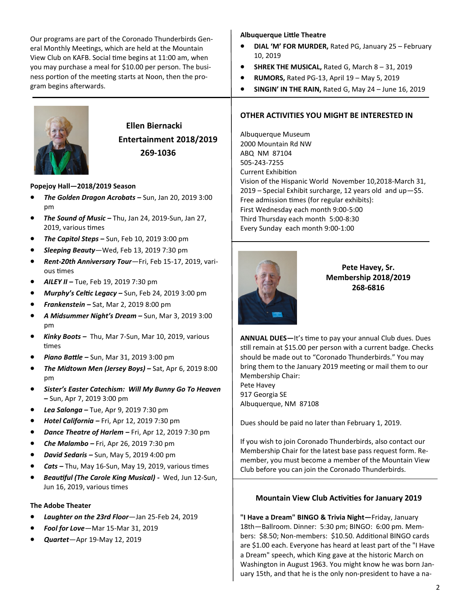Our programs are part of the Coronado Thunderbirds General Monthly Meetings, which are held at the Mountain View Club on KAFB. Social time begins at 11:00 am, when you may purchase a meal for \$10.00 per person. The business portion of the meeting starts at Noon, then the program begins afterwards.



# **Ellen Biernacki Entertainment 2018/2019 269-1036**

#### **Popejoy Hall—2018/2019 Season**

- *The Golden Dragon Acrobats –* Sun, Jan 20, 2019 3:00 pm
- *The Sound of Music –* Thu, Jan 24, 2019-Sun, Jan 27, 2019, various times
- *The Capitol Steps –* Sun, Feb 10, 2019 3:00 pm
- *Sleeping Beauty*—Wed, Feb 13, 2019 7:30 pm
- *Rent-20th Anniversary Tour*—Fri, Feb 15-17, 2019, various times
- *AILEY II –* Tue, Feb 19, 2019 7:30 pm
- *Murphy's Celtic Legacy –* Sun, Feb 24, 2019 3:00 pm
- *Frankenstein –* Sat, Mar 2, 2019 8:00 pm
- *A Midsummer Night's Dream –* Sun, Mar 3, 2019 3:00 pm
- *Kinky Boots –* Thu, Mar 7-Sun, Mar 10, 2019, various times
- *Piano Battle –* Sun, Mar 31, 2019 3:00 pm
- *The Midtown Men (Jersey Boys) –* Sat, Apr 6, 2019 8:00 pm
- *Sister's Easter Catechism: Will My Bunny Go To Heaven –* Sun, Apr 7, 2019 3:00 pm
- *Lea Salonga –* Tue, Apr 9, 2019 7:30 pm
- *Hotel California –* Fri, Apr 12, 2019 7:30 pm
- *Dance Theatre of Harlem –* Fri, Apr 12, 2019 7:30 pm
- *Che Malambo –* Fri, Apr 26, 2019 7:30 pm
- *David Sedaris –* Sun, May 5, 2019 4:00 pm
- *Cats –* Thu, May 16-Sun, May 19, 2019, various times
- *Beautiful (The Carole King Musical) -* Wed, Jun 12-Sun, Jun 16, 2019, various times

#### **The Adobe Theater**

- *Laughter on the 23rd Floor*—Jan 25-Feb 24, 2019
- *Fool for Love*—Mar 15-Mar 31, 2019
- *Quartet*—Apr 19-May 12, 2019

### **Albuquerque Little Theatre**

- **DIAL 'M' FOR MURDER,** Rated PG, January 25 February 10, 2019
- **SHREK THE MUSICAL,** Rated G, March 8 31, 2019
- **RUMORS,** Rated PG-13, April 19 May 5, 2019
- **SINGIN' IN THE RAIN,** Rated G, May 24 June 16, 2019

### **OTHER ACTIVITIES YOU MIGHT BE INTERESTED IN**

Albuquerque Museum 2000 Mountain Rd NW ABQ NM 87104 505-243-7255 Current Exhibition Vision of the Hispanic World November 10,2018-March 31, 2019 – Special Exhibit surcharge, 12 years old and up—\$5. Free admission times (for regular exhibits): First Wednesday each month 9:00-5:00 Third Thursday each month 5:00-8:30 Every Sunday each month 9:00-1:00



**Pete Havey, Sr. Membership 2018/2019 268-6816**

**ANNUAL DUES—**It's time to pay your annual Club dues. Dues still remain at \$15.00 per person with a current badge. Checks should be made out to "Coronado Thunderbirds." You may bring them to the January 2019 meeting or mail them to our Membership Chair: Pete Havey 917 Georgia SE

Albuquerque, NM 87108

Dues should be paid no later than February 1, 2019.

If you wish to join Coronado Thunderbirds, also contact our Membership Chair for the latest base pass request form. Remember, you must become a member of the Mountain View Club before you can join the Coronado Thunderbirds.

# **Mountain View Club Activities for January 2019**

**"I Have a Dream" BINGO & Trivia Night—**Friday, January 18th—Ballroom. Dinner: 5:30 pm; BINGO: 6:00 pm. Members: \$8.50; Non-members: \$10.50. Additional BINGO cards are \$1.00 each. Everyone has heard at least part of the "I Have a Dream" speech, which King gave at the historic March on Washington in August 1963. You might know he was born January 15th, and that he is the only non-president to have a na